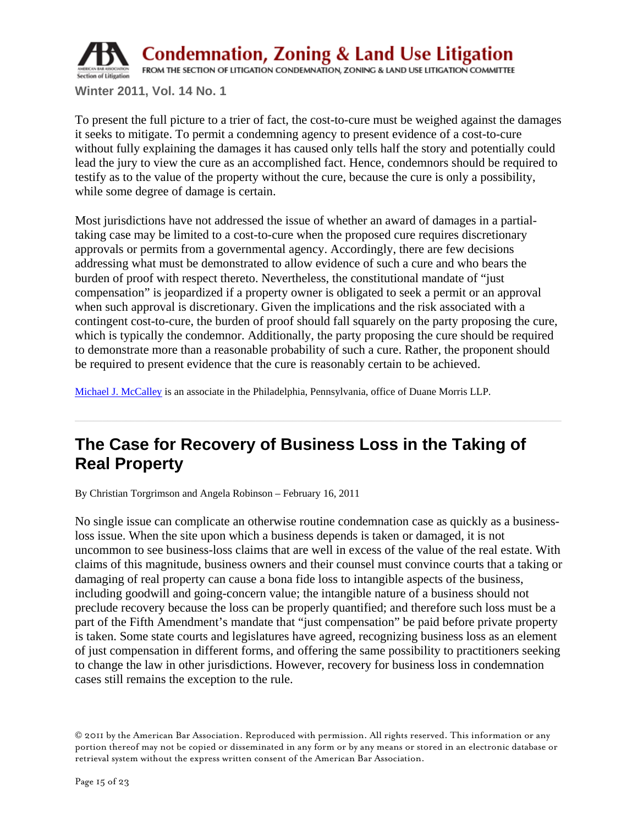

**Condemnation, Zoning & Land Use Litigation** 

FROM THE SECTION OF LITIGATION CONDEMNATION, ZONING & LAND USE LITIGATION COMMITTEE

**Winter 2011, Vol. 14 No. 1** 

To present the full picture to a trier of fact, the cost-to-cure must be weighed against the damages it seeks to mitigate. To permit a condemning agency to present evidence of a cost-to-cure without fully explaining the damages it has caused only tells half the story and potentially could lead the jury to view the cure as an accomplished fact. Hence, condemnors should be required to testify as to the value of the property without the cure, because the cure is only a possibility, while some degree of damage is certain.

Most jurisdictions have not addressed the issue of whether an award of damages in a partialtaking case may be limited to a cost-to-cure when the proposed cure requires discretionary approvals or permits from a governmental agency. Accordingly, there are few decisions addressing what must be demonstrated to allow evidence of such a cure and who bears the burden of proof with respect thereto. Nevertheless, the constitutional mandate of "just compensation" is jeopardized if a property owner is obligated to seek a permit or an approval when such approval is discretionary. Given the implications and the risk associated with a contingent cost-to-cure, the burden of proof should fall squarely on the party proposing the cure, which is typically the condemnor. Additionally, the party proposing the cure should be required to demonstrate more than a reasonable probability of such a cure. Rather, the proponent should be required to present evidence that the cure is reasonably certain to be achieved.

Michael J. McCalley is an associate in the Philadelphia, Pennsylvania, office of Duane Morris LLP.

# **The Case for Recovery of Business Loss in the Taking of Real Property**

By Christian Torgrimson and Angela Robinson – February 16, 2011

No single issue can complicate an otherwise routine condemnation case as quickly as a businessloss issue. When the site upon which a business depends is taken or damaged, it is not uncommon to see business-loss claims that are well in excess of the value of the real estate. With claims of this magnitude, business owners and their counsel must convince courts that a taking or damaging of real property can cause a bona fide loss to intangible aspects of the business, including goodwill and going-concern value; the intangible nature of a business should not preclude recovery because the loss can be properly quantified; and therefore such loss must be a part of the Fifth Amendment's mandate that "just compensation" be paid before private property is taken. Some state courts and legislatures have agreed, recognizing business loss as an element of just compensation in different forms, and offering the same possibility to practitioners seeking to change the law in other jurisdictions. However, recovery for business loss in condemnation cases still remains the exception to the rule.

<sup>© 2011</sup> by the American Bar Association. Reproduced with permission. All rights reserved. This information or any portion thereof may not be copied or disseminated in any form or by any means or stored in an electronic database or retrieval system without the express written consent of the American Bar Association.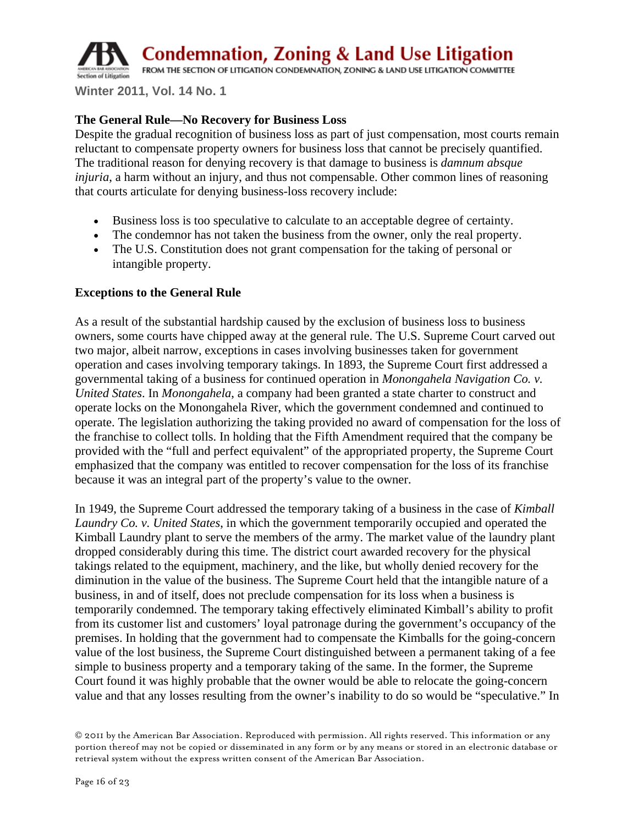**Condemnation, Zoning & Land Use Litigation** FROM THE SECTION OF LITIGATION CONDEMNATION, ZONING & LAND USE LITIGATION COMMITTEE Section of Litigation

**Winter 2011, Vol. 14 No. 1** 

# **The General Rule—No Recovery for Business Loss**

Despite the gradual recognition of business loss as part of just compensation, most courts remain reluctant to compensate property owners for business loss that cannot be precisely quantified. The traditional reason for denying recovery is that damage to business is *damnum absque injuria*, a harm without an injury, and thus not compensable. Other common lines of reasoning that courts articulate for denying business-loss recovery include:

- Business loss is too speculative to calculate to an acceptable degree of certainty.
- The condemnor has not taken the business from the owner, only the real property.
- The U.S. Constitution does not grant compensation for the taking of personal or intangible property.

## **Exceptions to the General Rule**

As a result of the substantial hardship caused by the exclusion of business loss to business owners, some courts have chipped away at the general rule. The U.S. Supreme Court carved out two major, albeit narrow, exceptions in cases involving businesses taken for government operation and cases involving temporary takings. In 1893, the Supreme Court first addressed a governmental taking of a business for continued operation in *Monongahela Navigation Co. v. United States*. In *Monongahela*, a company had been granted a state charter to construct and operate locks on the Monongahela River, which the government condemned and continued to operate. The legislation authorizing the taking provided no award of compensation for the loss of the franchise to collect tolls. In holding that the Fifth Amendment required that the company be provided with the "full and perfect equivalent" of the appropriated property, the Supreme Court emphasized that the company was entitled to recover compensation for the loss of its franchise because it was an integral part of the property's value to the owner.

In 1949, the Supreme Court addressed the temporary taking of a business in the case of *Kimball Laundry Co. v. United States*, in which the government temporarily occupied and operated the Kimball Laundry plant to serve the members of the army. The market value of the laundry plant dropped considerably during this time. The district court awarded recovery for the physical takings related to the equipment, machinery, and the like, but wholly denied recovery for the diminution in the value of the business. The Supreme Court held that the intangible nature of a business, in and of itself, does not preclude compensation for its loss when a business is temporarily condemned. The temporary taking effectively eliminated Kimball's ability to profit from its customer list and customers' loyal patronage during the government's occupancy of the premises. In holding that the government had to compensate the Kimballs for the going-concern value of the lost business, the Supreme Court distinguished between a permanent taking of a fee simple to business property and a temporary taking of the same. In the former, the Supreme Court found it was highly probable that the owner would be able to relocate the going-concern value and that any losses resulting from the owner's inability to do so would be "speculative." In

<sup>© 2011</sup> by the American Bar Association. Reproduced with permission. All rights reserved. This information or any portion thereof may not be copied or disseminated in any form or by any means or stored in an electronic database or retrieval system without the express written consent of the American Bar Association.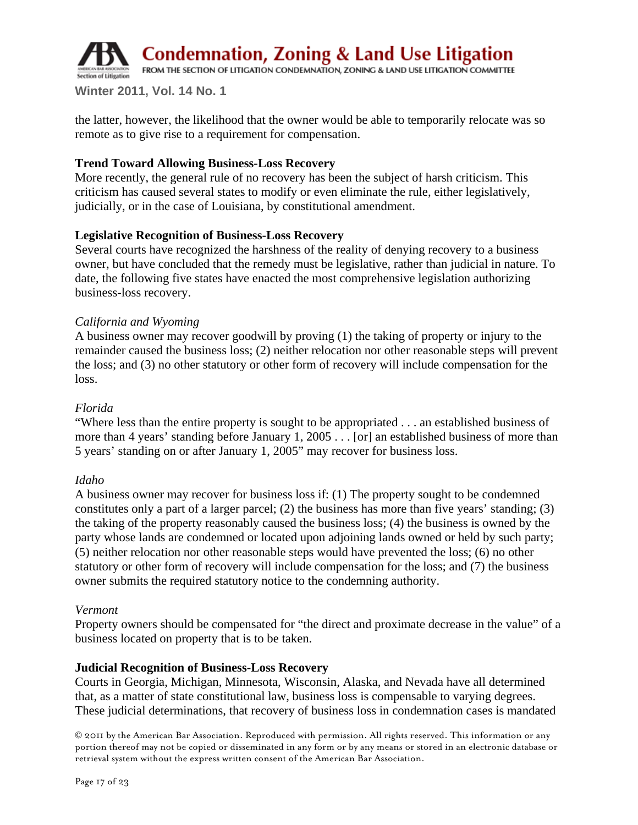

**Winter 2011, Vol. 14 No. 1** 

the latter, however, the likelihood that the owner would be able to temporarily relocate was so remote as to give rise to a requirement for compensation.

## **Trend Toward Allowing Business-Loss Recovery**

More recently, the general rule of no recovery has been the subject of harsh criticism. This criticism has caused several states to modify or even eliminate the rule, either legislatively, judicially, or in the case of Louisiana, by constitutional amendment.

# **Legislative Recognition of Business-Loss Recovery**

Several courts have recognized the harshness of the reality of denying recovery to a business owner, but have concluded that the remedy must be legislative, rather than judicial in nature. To date, the following five states have enacted the most comprehensive legislation authorizing business-loss recovery.

## *California and Wyoming*

A business owner may recover goodwill by proving (1) the taking of property or injury to the remainder caused the business loss; (2) neither relocation nor other reasonable steps will prevent the loss; and (3) no other statutory or other form of recovery will include compensation for the loss.

# *Florida*

"Where less than the entire property is sought to be appropriated . . . an established business of more than 4 years' standing before January 1, 2005 . . . [or] an established business of more than 5 years' standing on or after January 1, 2005" may recover for business loss.

## *Idaho*

A business owner may recover for business loss if: (1) The property sought to be condemned constitutes only a part of a larger parcel; (2) the business has more than five years' standing; (3) the taking of the property reasonably caused the business loss; (4) the business is owned by the party whose lands are condemned or located upon adjoining lands owned or held by such party; (5) neither relocation nor other reasonable steps would have prevented the loss; (6) no other statutory or other form of recovery will include compensation for the loss; and (7) the business owner submits the required statutory notice to the condemning authority.

#### *Vermont*

Property owners should be compensated for "the direct and proximate decrease in the value" of a business located on property that is to be taken.

## **Judicial Recognition of Business-Loss Recovery**

Courts in Georgia, Michigan, Minnesota, Wisconsin, Alaska, and Nevada have all determined that, as a matter of state constitutional law, business loss is compensable to varying degrees. These judicial determinations, that recovery of business loss in condemnation cases is mandated

<sup>© 2011</sup> by the American Bar Association. Reproduced with permission. All rights reserved. This information or any portion thereof may not be copied or disseminated in any form or by any means or stored in an electronic database or retrieval system without the express written consent of the American Bar Association.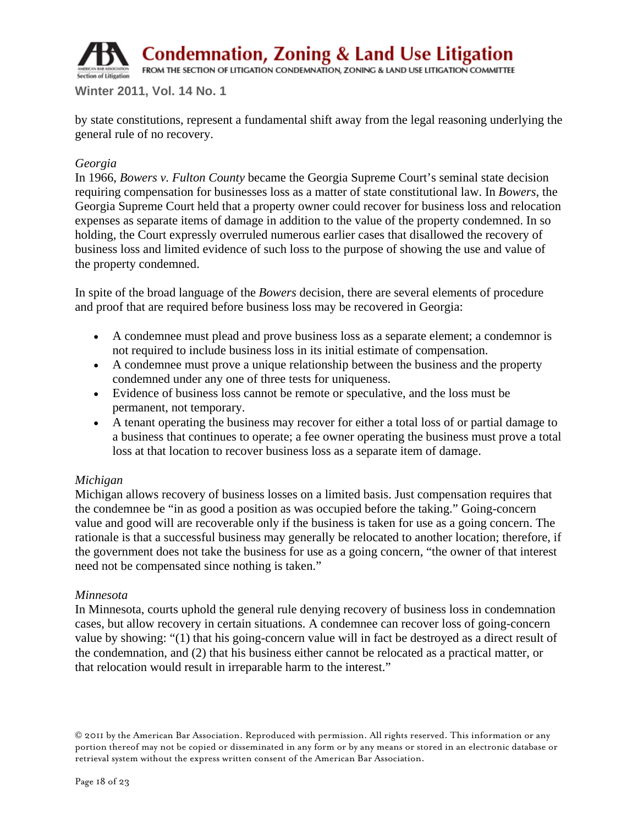

**Condemnation, Zoning & Land Use Litigation** 

FROM THE SECTION OF LITIGATION CONDEMNATION, ZONING & LAND USE LITIGATION COMMITTEE

**Winter 2011, Vol. 14 No. 1** 

by state constitutions, represent a fundamental shift away from the legal reasoning underlying the general rule of no recovery.

#### *Georgia*

In 1966, *Bowers v. Fulton County* became the Georgia Supreme Court's seminal state decision requiring compensation for businesses loss as a matter of state constitutional law. In *Bowers*, the Georgia Supreme Court held that a property owner could recover for business loss and relocation expenses as separate items of damage in addition to the value of the property condemned. In so holding, the Court expressly overruled numerous earlier cases that disallowed the recovery of business loss and limited evidence of such loss to the purpose of showing the use and value of the property condemned.

In spite of the broad language of the *Bowers* decision, there are several elements of procedure and proof that are required before business loss may be recovered in Georgia:

- A condemnee must plead and prove business loss as a separate element; a condemnor is not required to include business loss in its initial estimate of compensation.
- A condemnee must prove a unique relationship between the business and the property condemned under any one of three tests for uniqueness.
- Evidence of business loss cannot be remote or speculative, and the loss must be permanent, not temporary.
- A tenant operating the business may recover for either a total loss of or partial damage to a business that continues to operate; a fee owner operating the business must prove a total loss at that location to recover business loss as a separate item of damage.

## *Michigan*

Michigan allows recovery of business losses on a limited basis. Just compensation requires that the condemnee be "in as good a position as was occupied before the taking." Going-concern value and good will are recoverable only if the business is taken for use as a going concern. The rationale is that a successful business may generally be relocated to another location; therefore, if the government does not take the business for use as a going concern, "the owner of that interest need not be compensated since nothing is taken."

#### *Minnesota*

In Minnesota, courts uphold the general rule denying recovery of business loss in condemnation cases, but allow recovery in certain situations. A condemnee can recover loss of going-concern value by showing: "(1) that his going-concern value will in fact be destroyed as a direct result of the condemnation, and (2) that his business either cannot be relocated as a practical matter, or that relocation would result in irreparable harm to the interest."

<sup>© 2011</sup> by the American Bar Association. Reproduced with permission. All rights reserved. This information or any portion thereof may not be copied or disseminated in any form or by any means or stored in an electronic database or retrieval system without the express written consent of the American Bar Association.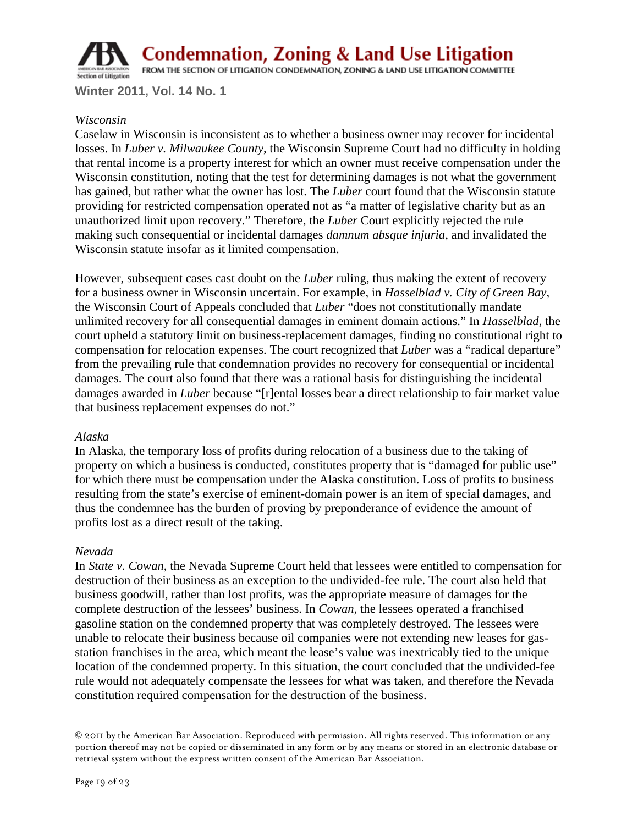

**Condemnation, Zoning & Land Use Litigation** 

FROM THE SECTION OF LITIGATION CONDEMNATION, ZONING & LAND USE LITIGATION COMMITTEE

**Winter 2011, Vol. 14 No. 1** 

#### *Wisconsin*

Caselaw in Wisconsin is inconsistent as to whether a business owner may recover for incidental losses. In *Luber v. Milwaukee County*, the Wisconsin Supreme Court had no difficulty in holding that rental income is a property interest for which an owner must receive compensation under the Wisconsin constitution, noting that the test for determining damages is not what the government has gained, but rather what the owner has lost. The *Luber* court found that the Wisconsin statute providing for restricted compensation operated not as "a matter of legislative charity but as an unauthorized limit upon recovery." Therefore, the *Luber* Court explicitly rejected the rule making such consequential or incidental damages *damnum absque injuria*, and invalidated the Wisconsin statute insofar as it limited compensation.

However, subsequent cases cast doubt on the *Luber* ruling, thus making the extent of recovery for a business owner in Wisconsin uncertain. For example, in *Hasselblad v. City of Green Bay*, the Wisconsin Court of Appeals concluded that *Luber* "does not constitutionally mandate unlimited recovery for all consequential damages in eminent domain actions." In *Hasselblad*, the court upheld a statutory limit on business-replacement damages, finding no constitutional right to compensation for relocation expenses. The court recognized that *Luber* was a "radical departure" from the prevailing rule that condemnation provides no recovery for consequential or incidental damages. The court also found that there was a rational basis for distinguishing the incidental damages awarded in *Luber* because "[r]ental losses bear a direct relationship to fair market value that business replacement expenses do not."

#### *Alaska*

In Alaska, the temporary loss of profits during relocation of a business due to the taking of property on which a business is conducted, constitutes property that is "damaged for public use" for which there must be compensation under the Alaska constitution. Loss of profits to business resulting from the state's exercise of eminent-domain power is an item of special damages, and thus the condemnee has the burden of proving by preponderance of evidence the amount of profits lost as a direct result of the taking.

#### *Nevada*

In *State v. Cowan*, the Nevada Supreme Court held that lessees were entitled to compensation for destruction of their business as an exception to the undivided-fee rule. The court also held that business goodwill, rather than lost profits, was the appropriate measure of damages for the complete destruction of the lessees' business. In *Cowan*, the lessees operated a franchised gasoline station on the condemned property that was completely destroyed. The lessees were unable to relocate their business because oil companies were not extending new leases for gasstation franchises in the area, which meant the lease's value was inextricably tied to the unique location of the condemned property. In this situation, the court concluded that the undivided-fee rule would not adequately compensate the lessees for what was taken, and therefore the Nevada constitution required compensation for the destruction of the business.

<sup>© 2011</sup> by the American Bar Association. Reproduced with permission. All rights reserved. This information or any portion thereof may not be copied or disseminated in any form or by any means or stored in an electronic database or retrieval system without the express written consent of the American Bar Association.